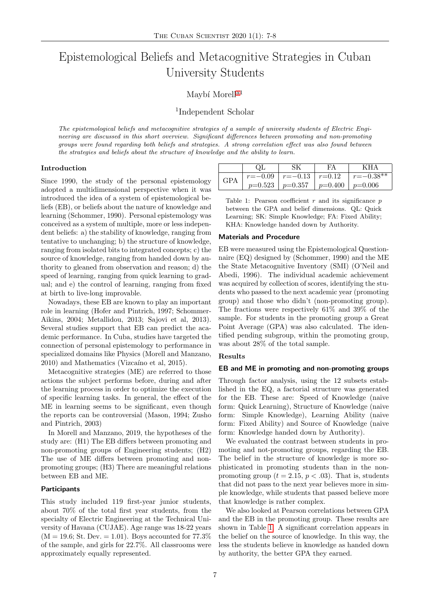# Epistemological Beliefs and Metacognitive Strategies in Cuban University Students

# Maybí Morell<sup>[a1](#page-1-0)</sup>

# 1 Independent Scholar

The epistemological beliefs and metacognitive strategies of a sample of university students of Electric Engineering are discussed in this short overview. Significant differences between promoting and non-promoting groups were found regarding both beliefs and strategies. A strong correlation effect was also found between the strategies and beliefs about the structure of knowledge and the ability to learn.

#### Introduction

Since 1990, the study of the personal epistemology adopted a multidimensional perspective when it was introduced the idea of a system of epistemological beliefs (EB), or beliefs about the nature of knowledge and learning (Schommer, 1990). Personal epistemology was conceived as a system of multiple, more or less independent beliefs: a) the stability of knowledge, ranging from tentative to unchanging; b) the structure of knowledge, ranging from isolated bits to integrated concepts; c) the source of knowledge, ranging from handed down by authority to gleaned from observation and reason; d) the speed of learning, ranging from quick learning to gradual; and e) the control of learning, ranging from fixed at birth to live-long improvable.

Nowadays, these EB are known to play an important role in learning (Hofer and Pintrich, 1997; Schommer-Aikins, 2004; Metallidou, 2013; Sajovi et al, 2013). Several studies support that EB can predict the academic performance. In Cuba, studies have targeted the connection of personal epistemology to performance in specialized domains like Physics (Morell and Manzano,  $2010$ ) and Mathematics (Vizcaíno et al,  $2015$ ).

Metacognitive strategies (ME) are referred to those actions the subject performs before, during and after the learning process in order to optimize the execution of specific learning tasks. In general, the effect of the ME in learning seems to be significant, even though the reports can be controversial (Mason, 1994; Zusho and Pintrich, 2003)

In Morell and Manzano, 2019, the hypotheses of the study are: (H1) The EB differs between promoting and non-promoting groups of Engineering students; (H2) The use of ME differs between promoting and nonpromoting groups; (H3) There are meaningful relations between EB and ME.

#### **Participants**

This study included 119 first-year junior students, about 70% of the total first year students, from the specialty of Electric Engineering at the Technical University of Havana (CUJAE). Age range was 18-22 years  $(M = 19.6; St. Dev. = 1.01)$ . Boys accounted for 77.3% of the sample, and girls for 22.7%. All classrooms were approximately equally represented.

<span id="page-0-0"></span>

|            |                                               | FΑ | KH A          |
|------------|-----------------------------------------------|----|---------------|
| <b>GPA</b> | $r=-0.09$   $r=-0.13$   $r=0.12$              |    | $r = -0.38**$ |
|            | $p=0.523$   $p=0.357$   $p=0.400$   $p=0.006$ |    |               |

Table 1: Pearson coefficient  $r$  and its significance  $p$ between the GPA and belief dimensions. QL: Quick Learning; SK: Simple Knowledge; FA: Fixed Ability; KHA: Knowledge handed down by Authority.

## Materials and Procedure

EB were measured using the Epistemological Questionnaire (EQ) designed by (Schommer, 1990) and the ME the State Metacognitive Inventory (SMI) (O'Neil and Abedi, 1996). The individual academic achievement was acquired by collection of scores, identifying the students who passed to the next academic year (promoting group) and those who didn't (non-promoting group). The fractions were respectively 61% and 39% of the sample. For students in the promoting group a Great Point Average (GPA) was also calculated. The identified pending subgroup, within the promoting group, was about 28% of the total sample.

## Results

## EB and ME in promoting and non-promoting groups

Through factor analysis, using the 12 subsets established in the EQ, a factorial structure was generated for the EB. These are: Speed of Knowledge (naive form: Quick Learning), Structure of Knowledge (naive form: Simple Knowledge), Learning Ability (naive form: Fixed Ability) and Source of Knowledge (naive form: Knowledge handed down by Authority).

We evaluated the contrast between students in promoting and not-promoting groups, regarding the EB. The belief in the structure of knowledge is more sophisticated in promoting students than in the nonpromoting group ( $t = 2.15$ ,  $p < .03$ ). That is, students that did not pass to the next year believes more in simple knowledge, while students that passed believe more that knowledge is rather complex.

We also looked at Pearson correlations between GPA and the EB in the promoting group. These results are shown in Table [1.](#page-0-0) A significant correlation appears in the belief on the source of knowledge. In this way, the less the students believe in knowledge as handed down by authority, the better GPA they earned.